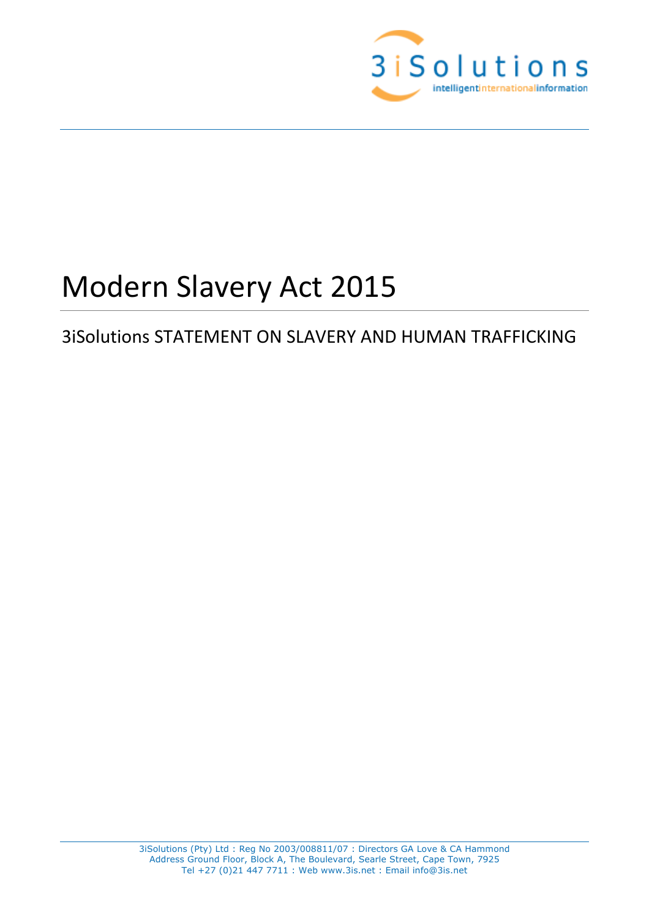

# Modern Slavery Act 2015

# 3iSolutions STATEMENT ON SLAVERY AND HUMAN TRAFFICKING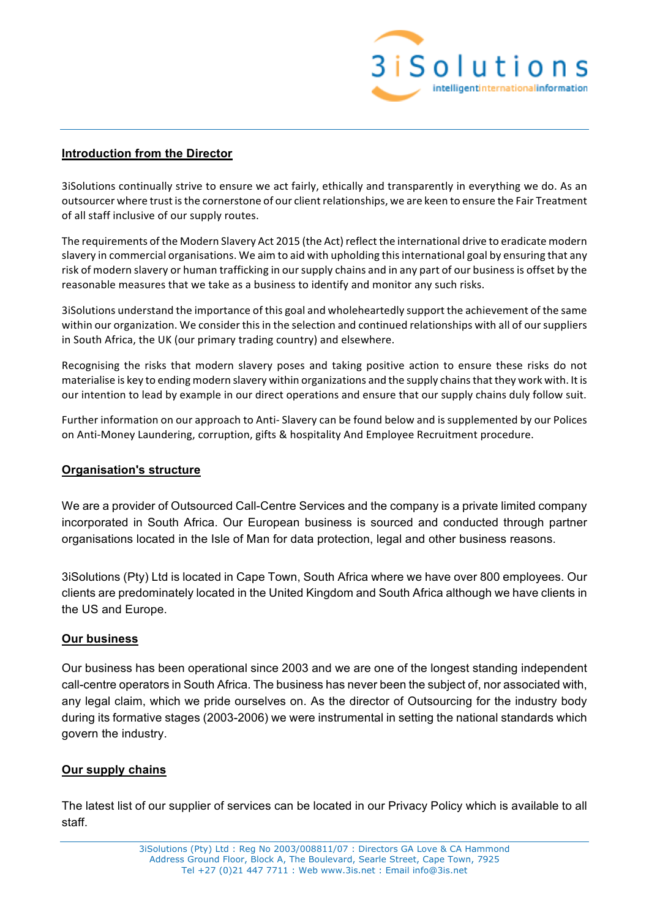

#### **Introduction from the Director**

3iSolutions continually strive to ensure we act fairly, ethically and transparently in everything we do. As an outsourcer where trust is the cornerstone of our client relationships, we are keen to ensure the Fair Treatment of all staff inclusive of our supply routes.

The requirements of the Modern Slavery Act 2015 (the Act) reflect the international drive to eradicate modern slavery in commercial organisations. We aim to aid with upholding this international goal by ensuring that any risk of modern slavery or human trafficking in our supply chains and in any part of our business is offset by the reasonable measures that we take as a business to identify and monitor any such risks.

3iSolutions understand the importance of this goal and wholeheartedly support the achievement of the same within our organization. We consider this in the selection and continued relationships with all of our suppliers in South Africa, the UK (our primary trading country) and elsewhere.

Recognising the risks that modern slavery poses and taking positive action to ensure these risks do not materialise is key to ending modern slavery within organizations and the supply chains that they work with. It is our intention to lead by example in our direct operations and ensure that our supply chains duly follow suit.

Further information on our approach to Anti- Slavery can be found below and is supplemented by our Polices on Anti-Money Laundering, corruption, gifts & hospitality And Employee Recruitment procedure.

#### **Organisation's structure**

We are a provider of Outsourced Call-Centre Services and the company is a private limited company incorporated in South Africa. Our European business is sourced and conducted through partner organisations located in the Isle of Man for data protection, legal and other business reasons.

3iSolutions (Pty) Ltd is located in Cape Town, South Africa where we have over 800 employees. Our clients are predominately located in the United Kingdom and South Africa although we have clients in the US and Europe.

# **Our business**

Our business has been operational since 2003 and we are one of the longest standing independent call-centre operators in South Africa. The business has never been the subject of, nor associated with, any legal claim, which we pride ourselves on. As the director of Outsourcing for the industry body during its formative stages (2003-2006) we were instrumental in setting the national standards which govern the industry.

# **Our supply chains**

The latest list of our supplier of services can be located in our Privacy Policy which is available to all staff.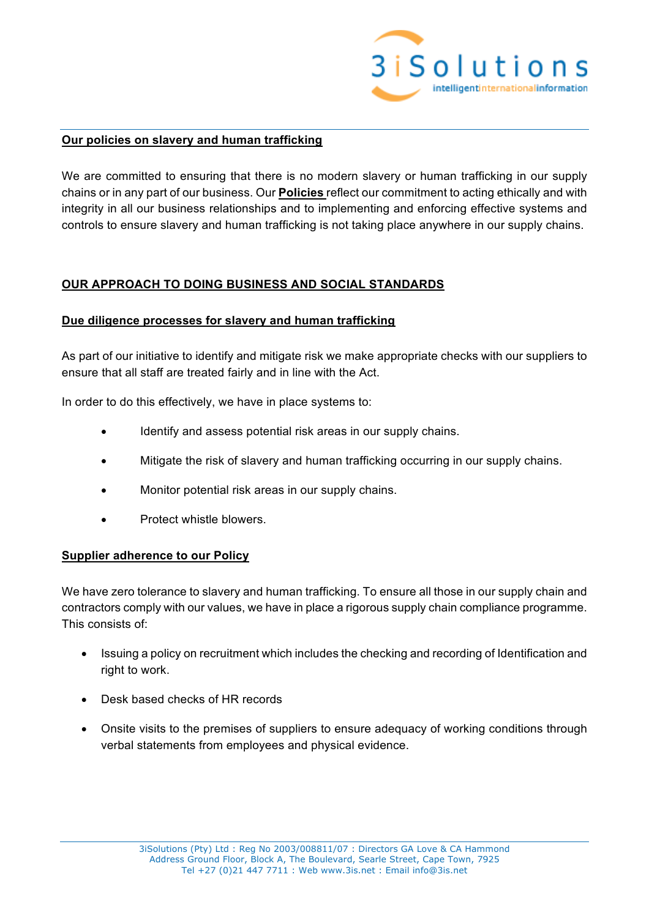

#### **Our policies on slavery and human trafficking**

We are committed to ensuring that there is no modern slavery or human trafficking in our supply chains or in any part of our business. Our **Policies** reflect our commitment to acting ethically and with integrity in all our business relationships and to implementing and enforcing effective systems and controls to ensure slavery and human trafficking is not taking place anywhere in our supply chains.

# **OUR APPROACH TO DOING BUSINESS AND SOCIAL STANDARDS**

#### **Due diligence processes for slavery and human trafficking**

As part of our initiative to identify and mitigate risk we make appropriate checks with our suppliers to ensure that all staff are treated fairly and in line with the Act.

In order to do this effectively, we have in place systems to:

- Identify and assess potential risk areas in our supply chains.
- Mitigate the risk of slavery and human trafficking occurring in our supply chains.
- Monitor potential risk areas in our supply chains.
- Protect whistle blowers.

#### **Supplier adherence to our Policy**

We have zero tolerance to slavery and human trafficking. To ensure all those in our supply chain and contractors comply with our values, we have in place a rigorous supply chain compliance programme. This consists of:

- Issuing a policy on recruitment which includes the checking and recording of Identification and right to work.
- Desk based checks of HR records
- Onsite visits to the premises of suppliers to ensure adequacy of working conditions through verbal statements from employees and physical evidence.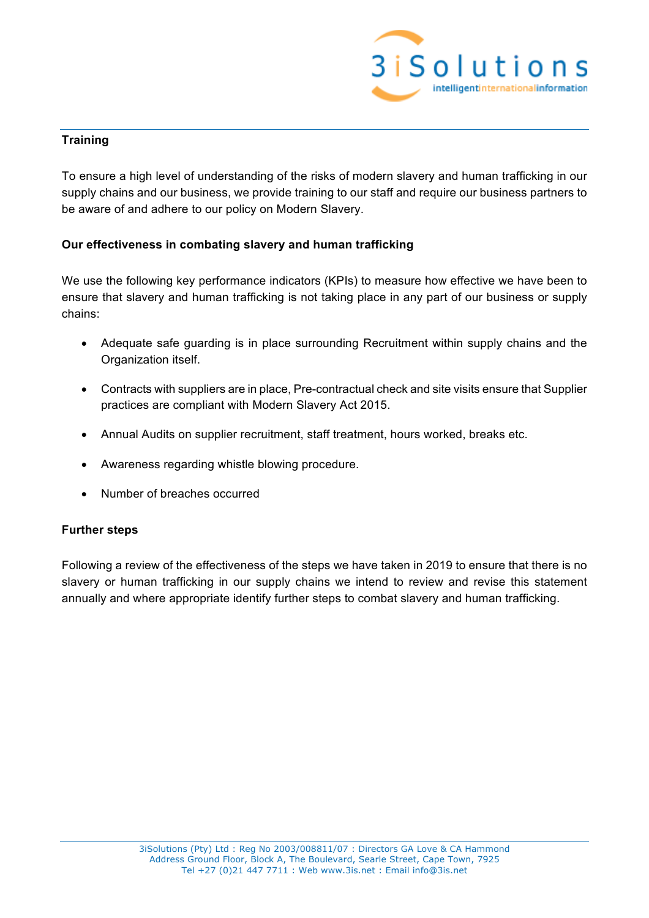

# **Training**

To ensure a high level of understanding of the risks of modern slavery and human trafficking in our supply chains and our business, we provide training to our staff and require our business partners to be aware of and adhere to our policy on Modern Slavery.

# **Our effectiveness in combating slavery and human trafficking**

We use the following key performance indicators (KPIs) to measure how effective we have been to ensure that slavery and human trafficking is not taking place in any part of our business or supply chains:

- Adequate safe guarding is in place surrounding Recruitment within supply chains and the Organization itself.
- Contracts with suppliers are in place, Pre-contractual check and site visits ensure that Supplier practices are compliant with Modern Slavery Act 2015.
- Annual Audits on supplier recruitment, staff treatment, hours worked, breaks etc.
- Awareness regarding whistle blowing procedure.
- Number of breaches occurred

# **Further steps**

Following a review of the effectiveness of the steps we have taken in 2019 to ensure that there is no slavery or human trafficking in our supply chains we intend to review and revise this statement annually and where appropriate identify further steps to combat slavery and human trafficking.